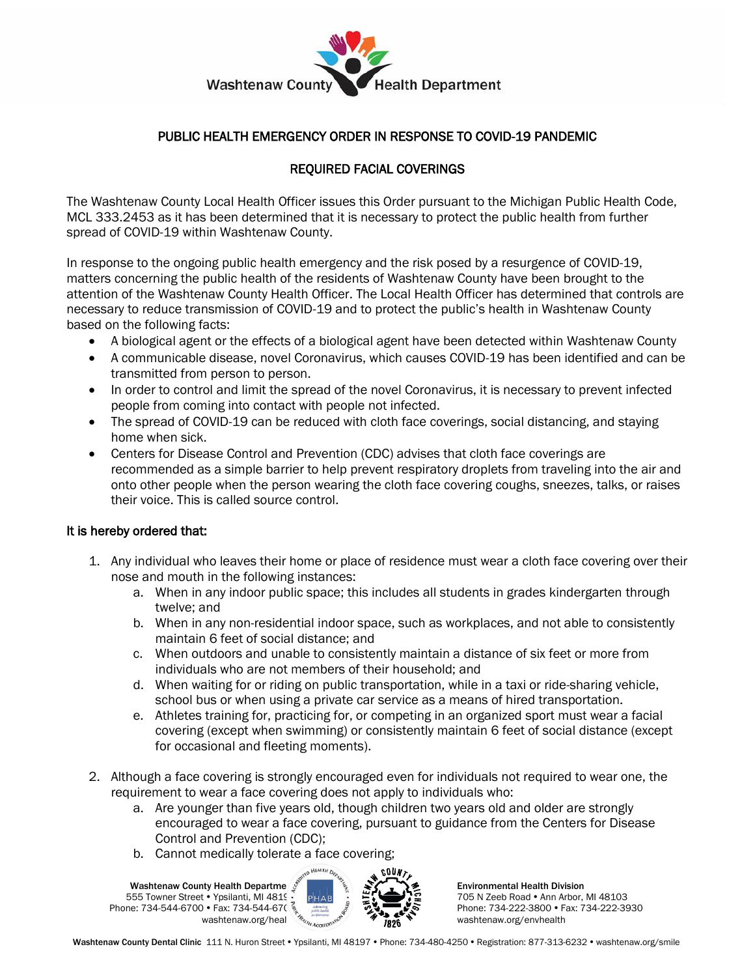

## PUBLIC HEALTH EMERGENCY ORDER IN RESPONSE TO COVID-19 PANDEMIC

## REQUIRED FACIAL COVERINGS

The Washtenaw County Local Health Officer issues this Order pursuant to the Michigan Public Health Code, MCL 333.2453 as it has been determined that it is necessary to protect the public health from further spread of COVID-19 within Washtenaw County.

In response to the ongoing public health emergency and the risk posed by a resurgence of COVID-19, matters concerning the public health of the residents of Washtenaw County have been brought to the attention of the Washtenaw County Health Officer. The Local Health Officer has determined that controls are necessary to reduce transmission of COVID-19 and to protect the public's health in Washtenaw County based on the following facts:

- A biological agent or the effects of a biological agent have been detected within Washtenaw County
- A communicable disease, novel Coronavirus, which causes COVID-19 has been identified and can be transmitted from person to person.
- In order to control and limit the spread of the novel Coronavirus, it is necessary to prevent infected people from coming into contact with people not infected.
- The spread of COVID-19 can be reduced with cloth face coverings, social distancing, and staying home when sick.
- Centers for Disease Control and Prevention (CDC) advises that cloth face coverings are recommended as a simple barrier to help prevent respiratory droplets from traveling into the air and onto other people when the person wearing the cloth face covering coughs, sneezes, talks, or raises their voice. This is called source control.

## It is hereby ordered that:

- 1. Any individual who leaves their home or place of residence must wear a cloth face covering over their nose and mouth in the following instances:
	- a. When in any indoor public space; this includes all students in grades kindergarten through twelve; and
	- b. When in any non-residential indoor space, such as workplaces, and not able to consistently maintain 6 feet of social distance; and
	- c. When outdoors and unable to consistently maintain a distance of six feet or more from individuals who are not members of their household; and
	- d. When waiting for or riding on public transportation, while in a taxi or ride-sharing vehicle, school bus or when using a private car service as a means of hired transportation.
	- e. Athletes training for, practicing for, or competing in an organized sport must wear a facial covering (except when swimming) or consistently maintain 6 feet of social distance (except for occasional and fleeting moments).
- 2. Although a face covering is strongly encouraged even for individuals not required to wear one, the requirement to wear a face covering does not apply to individuals who:
	- a. Are younger than five years old, though children two years old and older are strongly encouraged to wear a face covering, pursuant to guidance from the Centers for Disease Control and Prevention (CDC);
	- b. Cannot medically tolerate a face covering;

Washtenaw County Health Departme 555 Towner Street . Ypsilanti, MI 4819 Phone: 734-544-6700 • Fax: 734-544-670 washtenaw.org/heal



Environmental Health Division 705 N Zeeb Road • Ann Arbor, MI 48103 Phone: 734-222-3800 • Fax: 734-222-3930 washtenaw.org/envhealth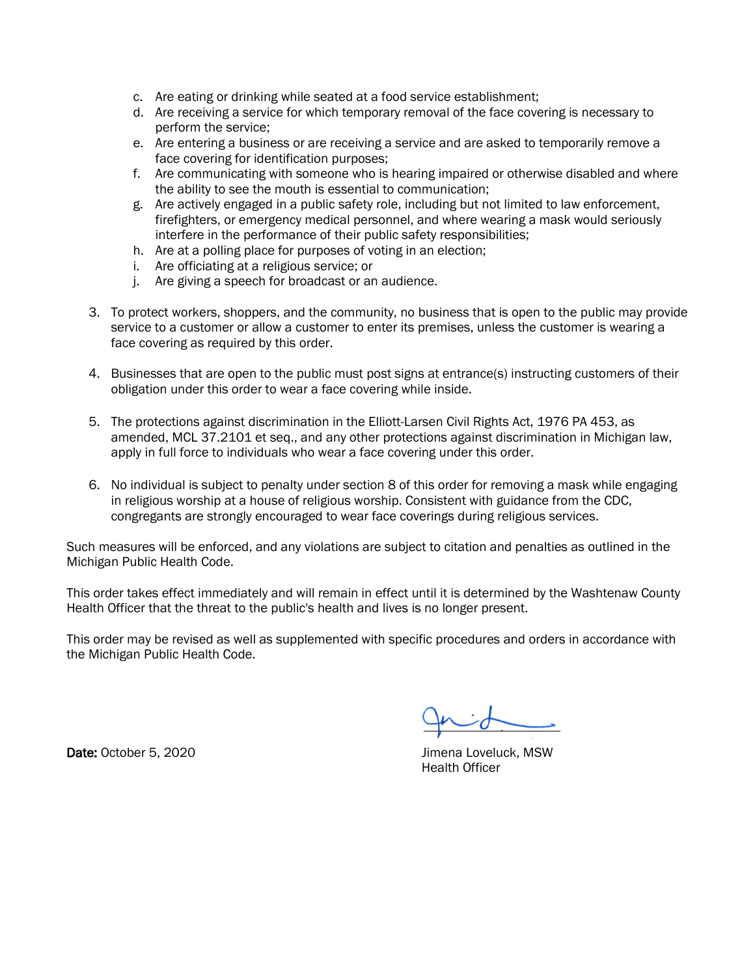- c. Are eating or drinking while seated at a food service establishment;
- d. Are receiving a service for which temporary removal of the face covering is necessary to perform the service;
- e. Are entering a business or are receiving a service and are asked to temporarily remove a face covering for identification purposes;
- f. Are communicating with someone who is hearing impaired or otherwise disabled and where the ability to see the mouth is essential to communication;
- g. Are actively engaged in a public safety role, including but not limited to law enforcement, firefighters, or emergency medical personnel, and where wearing a mask would seriously interfere in the performance of their public safety responsibilities;
- h. Are at a polling place for purposes of voting in an election;
- i. Are officiating at a religious service; or
- j. Are giving a speech for broadcast or an audience.
- 3. To protect workers, shoppers, and the community, no business that is open to the public may provide service to a customer or allow a customer to enter its premises, unless the customer is wearing a face covering as required by this order.
- 4. Businesses that are open to the public must post signs at entrance(s) instructing customers of their obligation under this order to wear a face covering while inside.
- 5. The protections against discrimination in the Elliott-Larsen Civil Rights Act, 1976 PA 453, as amended, MCL 37.2101 et seq., and any other protections against discrimination in Michigan law, apply in full force to individuals who wear a face covering under this order.
- 6. No individual is subject to penalty under section 8 of this order for removing a mask while engaging in religious worship at a house of religious worship. Consistent with guidance from the CDC, congregants are strongly encouraged to wear face coverings during religious services.

Such measures will be enforced, and any violations are subject to citation and penalties as outlined in the Michigan Public Health Code.

This order takes effect immediately and will remain in effect until it is determined by the Washtenaw County Health Officer that the threat to the public's health and lives is no longer present.

This order may be revised as well as supplemented with specific procedures and orders in accordance with the Michigan Public Health Code.

Date: October 5, 2020 **Date: October 5, 2020 Jimena Loveluck, MSW** 

Health Officer